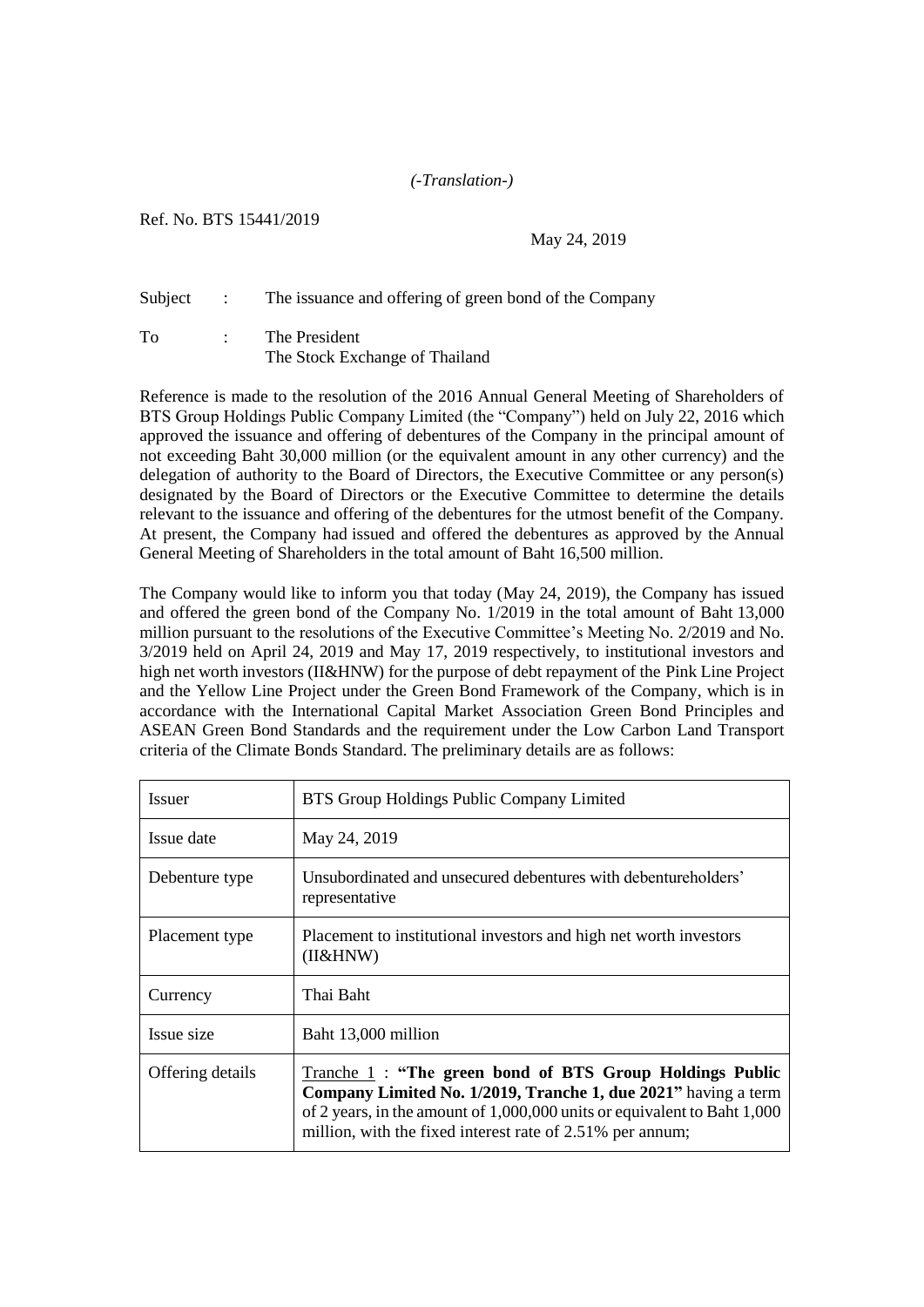## *(-Translation-)*

## Ref. No. BTS 15441/2019

## May 24, 2019

## Subject : The issuance and offering of green bond of the Company

To : The President The Stock Exchange of Thailand

Reference is made to the resolution of the 2016 Annual General Meeting of Shareholders of BTS Group Holdings Public Company Limited (the "Company") held on July 22, 2016 which approved the issuance and offering of debentures of the Company in the principal amount of not exceeding Baht 30,000 million (or the equivalent amount in any other currency) and the delegation of authority to the Board of Directors, the Executive Committee or any person(s) designated by the Board of Directors or the Executive Committee to determine the details relevant to the issuance and offering of the debentures for the utmost benefit of the Company. At present, the Company had issued and offered the debentures as approved by the Annual General Meeting of Shareholders in the total amount of Baht 16,500 million.

The Company would like to inform you that today (May 24, 2019), the Company has issued and offered the green bond of the Company No. 1/2019 in the total amount of Baht 13,000 million pursuant to the resolutions of the Executive Committee's Meeting No. 2/2019 and No. 3/2019 held on April 24, 2019 and May 17, 2019 respectively, to institutional investors and high net worth investors (II&HNW) for the purpose of debt repayment of the Pink Line Project and the Yellow Line Project under the Green Bond Framework of the Company, which is in accordance with the International Capital Market Association Green Bond Principles and ASEAN Green Bond Standards and the requirement under the Low Carbon Land Transport criteria of the Climate Bonds Standard. The preliminary details are as follows:

| <i>Issuer</i>    | BTS Group Holdings Public Company Limited                                                                                                                                                                                                                          |
|------------------|--------------------------------------------------------------------------------------------------------------------------------------------------------------------------------------------------------------------------------------------------------------------|
| Issue date       | May 24, 2019                                                                                                                                                                                                                                                       |
| Debenture type   | Unsubordinated and unsecured debentures with debentureholders'<br>representative                                                                                                                                                                                   |
| Placement type   | Placement to institutional investors and high net worth investors<br>(II&HNW)                                                                                                                                                                                      |
| Currency         | Thai Baht                                                                                                                                                                                                                                                          |
| Issue size       | Baht 13,000 million                                                                                                                                                                                                                                                |
| Offering details | Tranche 1: "The green bond of BTS Group Holdings Public<br>Company Limited No. 1/2019, Tranche 1, due 2021" having a term<br>of 2 years, in the amount of 1,000,000 units or equivalent to Baht 1,000<br>million, with the fixed interest rate of 2.51% per annum; |